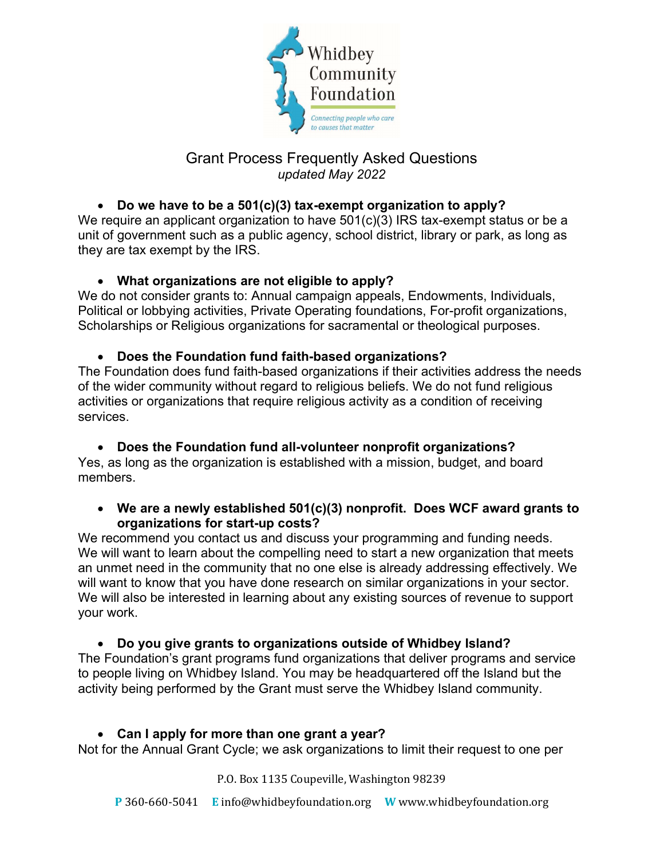

# Grant Process Frequently Asked Questions updated May 2022

# Do we have to be a 501(c)(3) tax-exempt organization to apply?

We require an applicant organization to have 501(c)(3) IRS tax-exempt status or be a unit of government such as a public agency, school district, library or park, as long as they are tax exempt by the IRS.

## What organizations are not eligible to apply?

We do not consider grants to: Annual campaign appeals, Endowments, Individuals, Political or lobbying activities, Private Operating foundations, For-profit organizations, Scholarships or Religious organizations for sacramental or theological purposes.

## Does the Foundation fund faith-based organizations?

The Foundation does fund faith-based organizations if their activities address the needs of the wider community without regard to religious beliefs. We do not fund religious activities or organizations that require religious activity as a condition of receiving services.

## Does the Foundation fund all-volunteer nonprofit organizations?

Yes, as long as the organization is established with a mission, budget, and board members.

#### We are a newly established 501(c)(3) nonprofit. Does WCF award grants to organizations for start-up costs?

We recommend you contact us and discuss your programming and funding needs. We will want to learn about the compelling need to start a new organization that meets an unmet need in the community that no one else is already addressing effectively. We will want to know that you have done research on similar organizations in your sector. We will also be interested in learning about any existing sources of revenue to support your work.

## Do you give grants to organizations outside of Whidbey Island?

The Foundation's grant programs fund organizations that deliver programs and service to people living on Whidbey Island. You may be headquartered off the Island but the activity being performed by the Grant must serve the Whidbey Island community.

## Can I apply for more than one grant a year?

Not for the Annual Grant Cycle; we ask organizations to limit their request to one per

P.O. Box 1135 Coupeville, Washington 98239